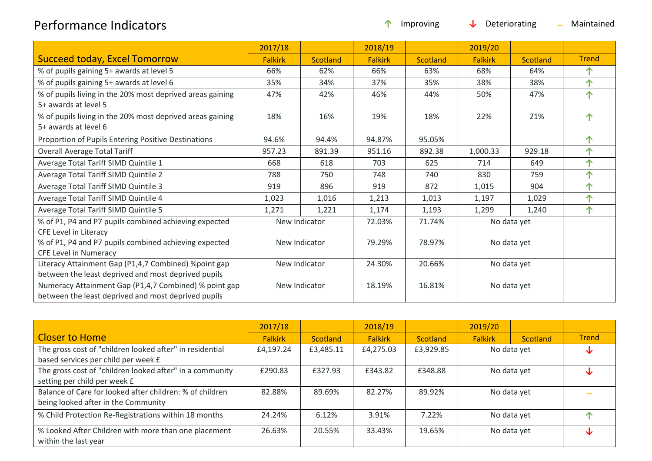## Performance Indicators

|                                                                                                              | 2017/18        |                 | 2018/19        |                 | 2019/20        |                 |                  |
|--------------------------------------------------------------------------------------------------------------|----------------|-----------------|----------------|-----------------|----------------|-----------------|------------------|
| <b>Succeed today, Excel Tomorrow</b>                                                                         | <b>Falkirk</b> | <b>Scotland</b> | <b>Falkirk</b> | <b>Scotland</b> | <b>Falkirk</b> | <b>Scotland</b> | <b>Trend</b>     |
| % of pupils gaining 5+ awards at level 5                                                                     | 66%            | 62%             | 66%            | 63%             | 68%            | 64%             | 个                |
| % of pupils gaining 5+ awards at level 6                                                                     | 35%            | 34%             | 37%            | 35%             | 38%            | 38%             | 个                |
| % of pupils living in the 20% most deprived areas gaining<br>5+ awards at level 5                            | 47%            | 42%             | 46%            | 44%             | 50%            | 47%             | 个                |
| % of pupils living in the 20% most deprived areas gaining<br>5+ awards at level 6                            | 18%            | 16%             | 19%            | 18%             | 22%            | 21%             | 个                |
| Proportion of Pupils Entering Positive Destinations                                                          | 94.6%          | 94.4%           | 94.87%         | 95.05%          |                |                 | 个                |
| <b>Overall Average Total Tariff</b>                                                                          | 957.23         | 891.39          | 951.16         | 892.38          | 1,000.33       | 929.18          | 个                |
| Average Total Tariff SIMD Quintile 1                                                                         | 668            | 618             | 703            | 625             | 714            | 649             | 个                |
| Average Total Tariff SIMD Quintile 2                                                                         | 788            | 750             | 748            | 740             | 830            | 759             | $\blacktriangle$ |
| Average Total Tariff SIMD Quintile 3                                                                         | 919            | 896             | 919            | 872             | 1,015          | 904             | 个                |
| Average Total Tariff SIMD Quintile 4                                                                         | 1,023          | 1,016           | 1,213          | 1,013           | 1,197          | 1,029           | 个                |
| Average Total Tariff SIMD Quintile 5                                                                         | 1,271          | 1,221           | 1,174          | 1,193           | 1,299          | 1,240           | $\bigwedge$      |
| % of P1, P4 and P7 pupils combined achieving expected<br>CFE Level in Literacy                               |                | New Indicator   | 72.03%         | 71.74%          |                | No data yet     |                  |
| % of P1, P4 and P7 pupils combined achieving expected<br><b>CFE Level in Numeracy</b>                        |                | New Indicator   |                | 78.97%          |                | No data yet     |                  |
| Literacy Attainment Gap (P1,4,7 Combined) %point gap<br>between the least deprived and most deprived pupils  |                | New Indicator   | 24.30%         | 20.66%          | No data yet    |                 |                  |
| Numeracy Attainment Gap (P1,4,7 Combined) % point gap<br>between the least deprived and most deprived pupils | New Indicator  |                 | 18.19%         | 16.81%          |                | No data yet     |                  |

|                                                          | 2017/18        |           | 2018/19        |           | 2019/20        |                 |              |
|----------------------------------------------------------|----------------|-----------|----------------|-----------|----------------|-----------------|--------------|
| <b>Closer to Home</b>                                    | <b>Falkirk</b> | Scotland  | <b>Falkirk</b> | Scotland  | <b>Falkirk</b> | <b>Scotland</b> | <b>Trend</b> |
| The gross cost of "children looked after" in residential | £4,197.24      | £3,485.11 | £4,275.03      | £3,929.85 |                | No data yet     |              |
| based services per child per week £                      |                |           |                |           |                |                 |              |
| The gross cost of "children looked after" in a community | £290.83        | £327.93   | £343.82        | £348.88   | No data yet    |                 |              |
| setting per child per week £                             |                |           |                |           |                |                 |              |
| Balance of Care for looked after children: % of children | 82.88%         | 89.69%    | 82.27%         | 89.92%    |                | No data yet     |              |
| being looked after in the Community                      |                |           |                |           |                |                 |              |
| % Child Protection Re-Registrations within 18 months     | 24.24%         | 6.12%     | 3.91%          | 7.22%     |                | No data yet     |              |
| % Looked After Children with more than one placement     | 26.63%         | 20.55%    | 33.43%         | 19.65%    |                | No data yet     |              |
| within the last year                                     |                |           |                |           |                |                 |              |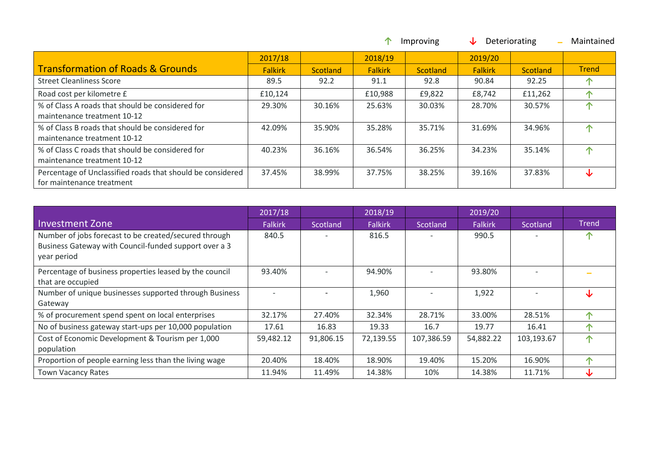|                                                                                         |                           |          | Improving<br>$\mathbf{T}$ |                 | Deteriorating<br>J        |          | Maintained         |
|-----------------------------------------------------------------------------------------|---------------------------|----------|---------------------------|-----------------|---------------------------|----------|--------------------|
| <b>Transformation of Roads &amp; Grounds</b>                                            | 2017/18<br><b>Falkirk</b> | Scotland | 2018/19<br><b>Falkirk</b> | <b>Scotland</b> | 2019/20<br><b>Falkirk</b> | Scotland | <b>Trend</b>       |
| <b>Street Cleanliness Score</b>                                                         | 89.5                      | 92.2     | 91.1                      | 92.8            | 90.84                     | 92.25    | $\hat{\mathbf{r}}$ |
| Road cost per kilometre £                                                               | £10,124                   |          | £10,988                   | £9,822          | £8,742                    | £11,262  | $\triangle$        |
| % of Class A roads that should be considered for<br>maintenance treatment 10-12         | 29.30%                    | 30.16%   | 25.63%                    | 30.03%          | 28.70%                    | 30.57%   | 个                  |
| % of Class B roads that should be considered for<br>maintenance treatment 10-12         | 42.09%                    | 35.90%   | 35.28%                    | 35.71%          | 31.69%                    | 34.96%   | 个                  |
| % of Class C roads that should be considered for<br>maintenance treatment 10-12         | 40.23%                    | 36.16%   | 36.54%                    | 36.25%          | 34.23%                    | 35.14%   | $\hat{\mathbf{r}}$ |
| Percentage of Unclassified roads that should be considered<br>for maintenance treatment | 37.45%                    | 38.99%   | 37.75%                    | 38.25%          | 39.16%                    | 37.83%   | ◡                  |

|                                                                                                                               | 2017/18        |                 | 2018/19        |            | 2019/20        |                          |       |
|-------------------------------------------------------------------------------------------------------------------------------|----------------|-----------------|----------------|------------|----------------|--------------------------|-------|
| <b>Investment Zone</b>                                                                                                        | <b>Falkirk</b> | <b>Scotland</b> | <b>Falkirk</b> | Scotland   | <b>Falkirk</b> | Scotland                 | Trend |
| Number of jobs forecast to be created/secured through<br>Business Gateway with Council-funded support over a 3<br>year period | 840.5          |                 | 816.5          |            | 990.5          |                          |       |
| Percentage of business properties leased by the council<br>that are occupied                                                  | 93.40%         |                 | 94.90%         |            | 93.80%         | $\overline{\phantom{0}}$ |       |
| Number of unique businesses supported through Business<br>Gateway                                                             |                |                 | 1,960          |            | 1,922          |                          | Jz    |
| % of procurement spend spent on local enterprises                                                                             | 32.17%         | 27.40%          | 32.34%         | 28.71%     | 33.00%         | 28.51%                   | ∧     |
| No of business gateway start-ups per 10,000 population                                                                        | 17.61          | 16.83           | 19.33          | 16.7       | 19.77          | 16.41                    | ∧     |
| Cost of Economic Development & Tourism per 1,000<br>population                                                                | 59,482.12      | 91,806.15       | 72,139.55      | 107,386.59 | 54,882.22      | 103,193.67               | ∧     |
| Proportion of people earning less than the living wage                                                                        | 20.40%         | 18.40%          | 18.90%         | 19.40%     | 15.20%         | 16.90%                   | ́灬    |
| <b>Town Vacancy Rates</b>                                                                                                     | 11.94%         | 11.49%          | 14.38%         | 10%        | 14.38%         | 11.71%                   | slz.  |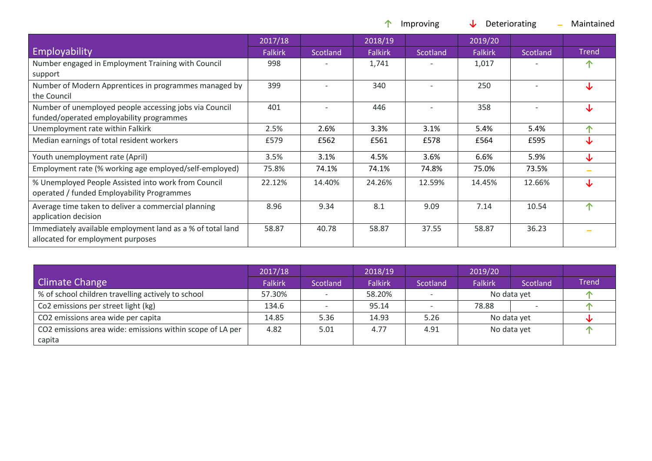|                                                                                                 | 2017/18        |          | 2018/19        |          | 2019/20        |                          |              |
|-------------------------------------------------------------------------------------------------|----------------|----------|----------------|----------|----------------|--------------------------|--------------|
| <b>Employability</b>                                                                            | <b>Falkirk</b> | Scotland | <b>Falkirk</b> | Scotland | <b>Falkirk</b> | Scotland                 | <b>Trend</b> |
| Number engaged in Employment Training with Council                                              | 998            |          | 1,741          |          | 1,017          |                          | ∧            |
| support                                                                                         |                |          |                |          |                |                          |              |
| Number of Modern Apprentices in programmes managed by                                           | 399            |          | 340            |          | 250            | $\overline{\phantom{0}}$ | J            |
| the Council                                                                                     |                |          |                |          |                |                          |              |
| Number of unemployed people accessing jobs via Council                                          | 401            |          | 446            |          | 358            |                          | J            |
| funded/operated employability programmes                                                        |                |          |                |          |                |                          |              |
| Unemployment rate within Falkirk                                                                | 2.5%           | 2.6%     | 3.3%           | 3.1%     | 5.4%           | 5.4%                     | ∧            |
| Median earnings of total resident workers                                                       | £579           | £562     | £561           | £578     | £564           | £595                     | ◡            |
| Youth unemployment rate (April)                                                                 | 3.5%           | 3.1%     | 4.5%           | 3.6%     | 6.6%           | 5.9%                     | ◡            |
| Employment rate (% working age employed/self-employed)                                          | 75.8%          | 74.1%    | 74.1%          | 74.8%    | 75.0%          | 73.5%                    |              |
| % Unemployed People Assisted into work from Council                                             | 22.12%         | 14.40%   | 24.26%         | 12.59%   | 14.45%         | 12.66%                   | J            |
| operated / funded Employability Programmes                                                      |                |          |                |          |                |                          |              |
| Average time taken to deliver a commercial planning<br>application decision                     | 8.96           | 9.34     | 8.1            | 9.09     | 7.14           | 10.54                    | 不            |
| Immediately available employment land as a % of total land<br>allocated for employment purposes | 58.87          | 40.78    | 58.87          | 37.55    | 58.87          | 36.23                    |              |

|                                                           | 2017/18        |          | 2018/19        |          | 2019/20        |          |       |
|-----------------------------------------------------------|----------------|----------|----------------|----------|----------------|----------|-------|
| <b>Climate Change</b>                                     | <b>Falkirk</b> | Scotland | <b>Falkirk</b> | Scotland | <b>Falkirk</b> | Scotland | Trend |
| % of school children travelling actively to school        | 57.30%         |          | 58.20%         |          | No data yet    |          |       |
| Co2 emissions per street light (kg)                       | 134.6          |          | 95.14          |          | 78.88          |          |       |
| CO2 emissions area wide per capita                        | 14.85          | 5.36     | 14.93          | 5.26     | No data yet    |          |       |
| CO2 emissions area wide: emissions within scope of LA per | 4.82           | 5.01     | 4.77           | 4.91     | No data yet    |          |       |
| capita                                                    |                |          |                |          |                |          |       |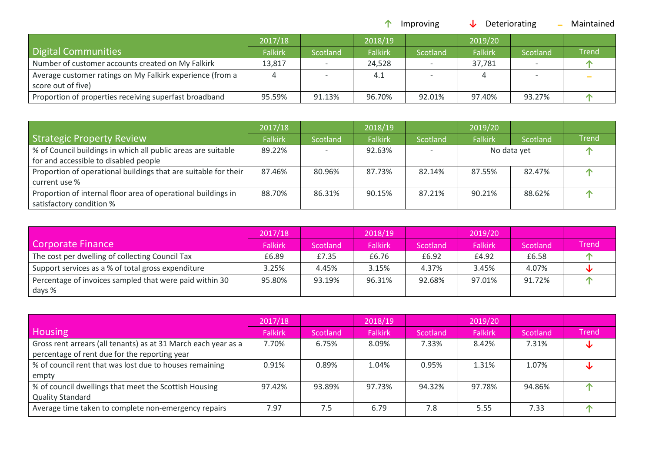|                                                           | 2017/18        |          | 2018/19        |          | 2019/20        |                 |              |
|-----------------------------------------------------------|----------------|----------|----------------|----------|----------------|-----------------|--------------|
| <b>Digital Communities</b>                                | <b>Falkirk</b> | Scotland | <b>Falkirk</b> | Scotland | <b>Falkirk</b> | <b>Scotland</b> | <b>Trend</b> |
| Number of customer accounts created on My Falkirk         | 13,817         |          | 24,528         |          | 37,781         |                 |              |
| Average customer ratings on My Falkirk experience (from a |                |          | 4.1            |          |                |                 |              |
| score out of five)                                        |                |          |                |          |                |                 |              |
| Proportion of properties receiving superfast broadband    | 95.59%         | 91.13%   | 96.70%         | 92.01%   | 97.40%         | 93.27%          |              |

|                                                                                           | 2017/18        |          | 2018/19        |          | 2019/20        |          |              |
|-------------------------------------------------------------------------------------------|----------------|----------|----------------|----------|----------------|----------|--------------|
| <b>Strategic Property Review</b>                                                          | <b>Falkirk</b> | Scotland | <b>Falkirk</b> | Scotland | <b>Falkirk</b> | Scotland | <b>Trend</b> |
| % of Council buildings in which all public areas are suitable                             | 89.22%         |          | 92.63%         |          | No data yet    |          |              |
| for and accessible to disabled people                                                     |                |          |                |          |                |          |              |
| Proportion of operational buildings that are suitable for their                           | 87.46%         | 80.96%   | 87.73%         | 82.14%   | 87.55%         | 82.47%   |              |
| current use %                                                                             |                |          |                |          |                |          |              |
| Proportion of internal floor area of operational buildings in<br>satisfactory condition % | 88.70%         | 86.31%   | 90.15%         | 87.21%   | 90.21%         | 88.62%   |              |

|                                                                   | 2017/18        |          | 2018/19        |          | 2019/20        |          |       |
|-------------------------------------------------------------------|----------------|----------|----------------|----------|----------------|----------|-------|
| Corporate Finance                                                 | <b>Falkirk</b> | Scotland | <b>Falkirk</b> | Scotland | <b>Falkirk</b> | Scotland | Trend |
| The cost per dwelling of collecting Council Tax                   | £6.89          | £7.35    | £6.76          | £6.92    | £4.92          | £6.58    |       |
| Support services as a % of total gross expenditure                | 3.25%          | 4.45%    | 3.15%          | 4.37%    | 3.45%          | 4.07%    |       |
| Percentage of invoices sampled that were paid within 30<br>days % | 95.80%         | 93.19%   | 96.31%         | 92.68%   | 97.01%         | 91.72%   |       |

|                                                                                                                 | 2017/18        |          | 2018/19        |          | 2019/20        |          |       |
|-----------------------------------------------------------------------------------------------------------------|----------------|----------|----------------|----------|----------------|----------|-------|
| <b>Housing</b>                                                                                                  | <b>Falkirk</b> | Scotland | <b>Falkirk</b> | Scotland | <b>Falkirk</b> | Scotland | Trend |
| Gross rent arrears (all tenants) as at 31 March each year as a<br>percentage of rent due for the reporting year | 7.70%          | 6.75%    | 8.09%          | 7.33%    | 8.42%          | 7.31%    | J     |
| % of council rent that was lost due to houses remaining<br>empty                                                | 0.91%          | 0.89%    | 1.04%          | 0.95%    | 1.31%          | 1.07%    |       |
| % of council dwellings that meet the Scottish Housing<br><b>Quality Standard</b>                                | 97.42%         | 93.89%   | 97.73%         | 94.32%   | 97.78%         | 94.86%   | ́́    |
| Average time taken to complete non-emergency repairs                                                            | 7.97           | 7.5      | 6.79           | 7.8      | 5.55           | 7.33     | ⌒     |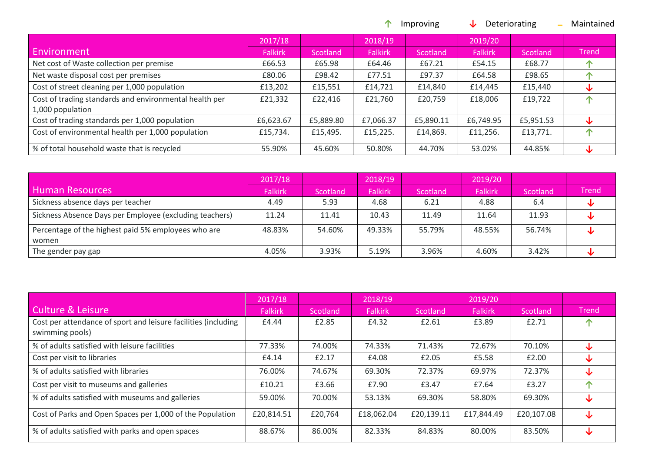|                                                                            |                |           | $\bigwedge$    | Improving | Deteriorating<br>◡ | Maintained |              |
|----------------------------------------------------------------------------|----------------|-----------|----------------|-----------|--------------------|------------|--------------|
|                                                                            | 2017/18        |           | 2018/19        |           | 2019/20            |            |              |
| Environment                                                                | <b>Falkirk</b> | Scotland  | <b>Falkirk</b> | Scotland  | <b>Falkirk</b>     | Scotland   | <b>Trend</b> |
| Net cost of Waste collection per premise                                   | £66.53         | £65.98    | £64.46         | £67.21    | £54.15             | £68.77     | $\sqrt{N}$   |
| Net waste disposal cost per premises                                       | £80.06         | £98.42    | £77.51         | £97.37    | £64.58             | £98.65     | $\sqrt{2}$   |
| Cost of street cleaning per 1,000 population                               | £13,202        | £15,551   | £14,721        | £14,840   | £14,445            | £15,440    |              |
| Cost of trading standards and environmental health per<br>1,000 population | £21,332        | £22,416   | £21,760        | £20,759   | £18,006            | £19,722    | $\bigwedge$  |
| Cost of trading standards per 1,000 population                             | £6,623.67      | £5,889.80 | £7,066.37      | £5,890.11 | £6,749.95          | £5,951.53  | ∿            |
| Cost of environmental health per 1,000 population                          | £15,734.       | £15,495.  | £15,225.       | £14,869.  | £11,256.           | £13,771.   | 个            |
| % of total household waste that is recycled                                | 55.90%         | 45.60%    | 50.80%         | 44.70%    | 53.02%             | 44.85%     | ◡            |

|                                                              | 2017/18        |          | 2018/19        |                 | 2019/20 |          |              |
|--------------------------------------------------------------|----------------|----------|----------------|-----------------|---------|----------|--------------|
| <b>Human Resources</b>                                       | <b>Falkirk</b> | Scotland | <b>Falkirk</b> | <b>Scotland</b> | Falkirk | Scotland | <b>Trend</b> |
| Sickness absence days per teacher                            | 4.49           | 5.93     | 4.68           | 6.21            | 4.88    | 6.4      |              |
| Sickness Absence Days per Employee (excluding teachers)      | 11.24          | 11.41    | 10.43          | 11.49           | 11.64   | 11.93    |              |
| Percentage of the highest paid 5% employees who are<br>women | 48.83%         | 54.60%   | 49.33%         | 55.79%          | 48.55%  | 56.74%   |              |
| The gender pay gap                                           | 4.05%          | 3.93%    | 5.19%          | 3.96%           | 4.60%   | 3.42%    |              |

|                                                                                   | 2017/18        |          | 2018/19    |            | 2019/20        |            |       |
|-----------------------------------------------------------------------------------|----------------|----------|------------|------------|----------------|------------|-------|
| <b>Culture &amp; Leisure</b>                                                      | <b>Falkirk</b> | Scotland | Falkirk    | Scotland   | <b>Falkirk</b> | Scotland   | Trend |
| Cost per attendance of sport and leisure facilities (including<br>swimming pools) | £4.44          | £2.85    | £4.32      | £2.61      | £3.89          | £2.71      | ∧     |
| % of adults satisfied with leisure facilities                                     | 77.33%         | 74.00%   | 74.33%     | 71.43%     | 72.67%         | 70.10%     |       |
| Cost per visit to libraries                                                       | £4.14          | £2.17    | £4.08      | £2.05      | £5.58          | £2.00      | ◡     |
| % of adults satisfied with libraries                                              | 76.00%         | 74.67%   | 69.30%     | 72.37%     | 69.97%         | 72.37%     | ₩     |
| Cost per visit to museums and galleries                                           | £10.21         | £3.66    | £7.90      | £3.47      | £7.64          | £3.27      | ∧     |
| % of adults satisfied with museums and galleries                                  | 59.00%         | 70.00%   | 53.13%     | 69.30%     | 58.80%         | 69.30%     | ∿     |
| Cost of Parks and Open Spaces per 1,000 of the Population                         | £20,814.51     | £20,764  | £18,062.04 | £20,139.11 | £17,844.49     | £20,107.08 | ∿     |
| % of adults satisfied with parks and open spaces                                  | 88.67%         | 86.00%   | 82.33%     | 84.83%     | 80.00%         | 83.50%     | ∿     |